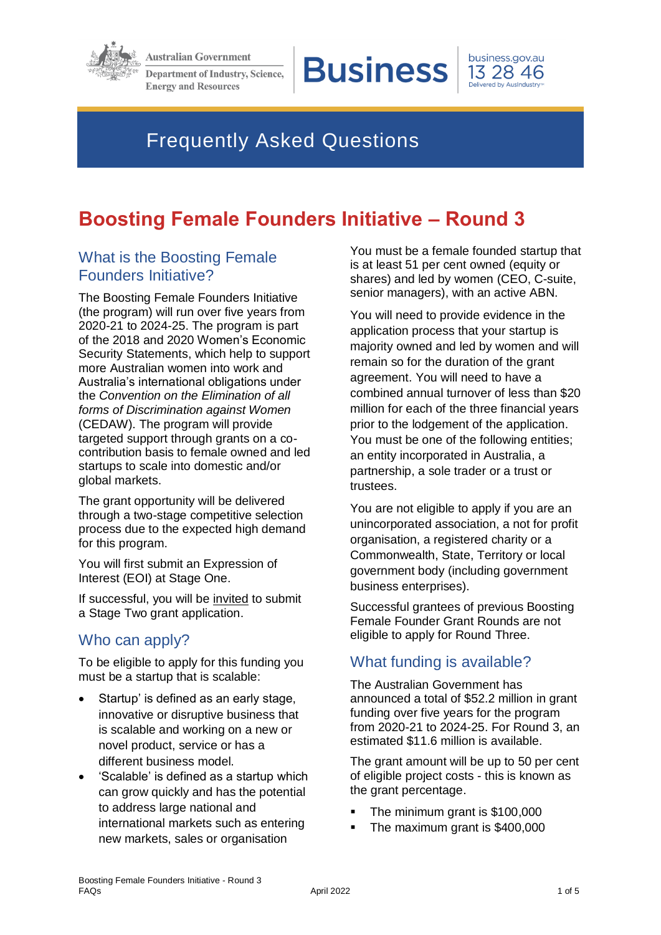

**Australian Government** 

**Department of Industry, Science, Energy and Resources** 

**Business** 



# Frequently Asked Questions

# **Boosting Female Founders Initiative – Round 3**

# What is the Boosting Female Founders Initiative?

The Boosting Female Founders Initiative (the program) will run over five years from 2020-21 to 2024-25. The program is part of the 2018 and 2020 Women's Economic Security Statements, which help to support more Australian women into work and Australia's international obligations under the *Convention on the Elimination of all forms of Discrimination against Women*  (CEDAW). The program will provide targeted support through grants on a cocontribution basis to female owned and led startups to scale into domestic and/or global markets.

The grant opportunity will be delivered through a two-stage competitive selection process due to the expected high demand for this program.

You will first submit an Expression of Interest (EOI) at Stage One.

If successful, you will be invited to submit a Stage Two grant application.

# Who can apply?

To be eligible to apply for this funding you must be a startup that is scalable:

- Startup' is defined as an early stage, innovative or disruptive business that is scalable and working on a new or novel product, service or has a different business model.
- 'Scalable' is defined as a startup which can grow quickly and has the potential to address large national and international markets such as entering new markets, sales or organisation

You must be a female founded startup that is at least 51 per cent owned (equity or shares) and led by women (CEO, C-suite, senior managers), with an active ABN.

You will need to provide evidence in the application process that your startup is majority owned and led by women and will remain so for the duration of the grant agreement. You will need to have a combined annual turnover of less than \$20 million for each of the three financial years prior to the lodgement of the application. You must be one of the following entities; an entity incorporated in Australia, a partnership, a sole trader or a trust or trustees.

You are not eligible to apply if you are an unincorporated association, a not for profit organisation, a registered charity or a Commonwealth, State, Territory or local government body (including government business enterprises).

Successful grantees of previous Boosting Female Founder Grant Rounds are not eligible to apply for Round Three.

# What funding is available?

The Australian Government has announced a total of \$52.2 million in grant funding over five years for the program from 2020-21 to 2024-25. For Round 3, an estimated \$11.6 million is available.

The grant amount will be up to 50 per cent of eligible project costs - this is known as the grant percentage.

- The minimum grant is \$100,000
- The maximum grant is \$400,000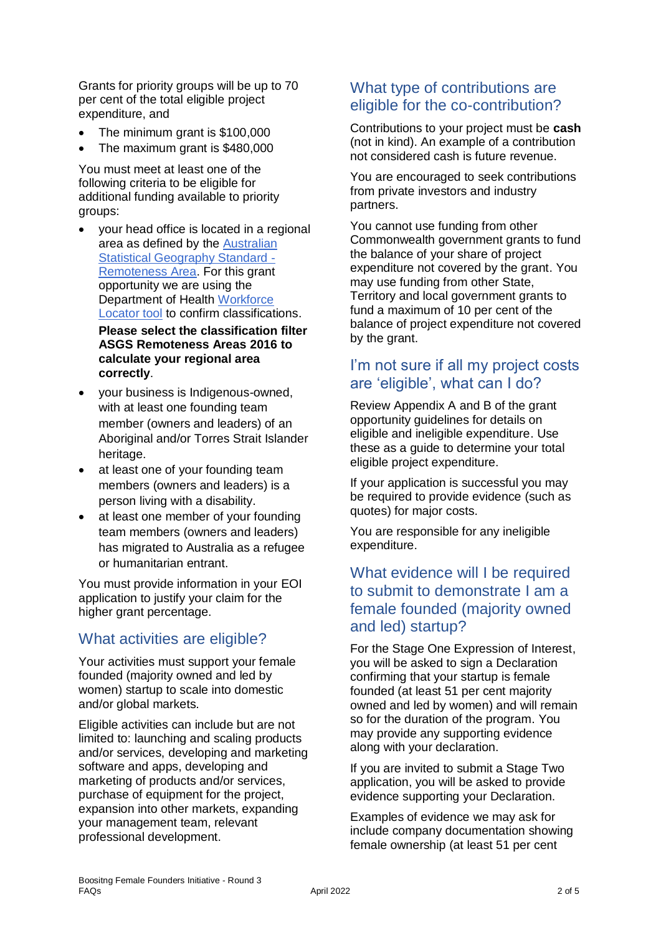Grants for priority groups will be up to 70 per cent of the total eligible project expenditure, and

- The minimum grant is \$100,000
- The maximum grant is \$480,000

You must meet at least one of the following criteria to be eligible for additional funding available to priority groups:

- your head office is located in a regional area as defined by the [Australian](https://www.abs.gov.au/websitedbs/D3310114.nsf/home/remoteness+structure)  [Statistical Geography Standard -](https://www.abs.gov.au/websitedbs/D3310114.nsf/home/remoteness+structure) [Remoteness Area.](https://www.abs.gov.au/websitedbs/D3310114.nsf/home/remoteness+structure) For this grant opportunity we are using the Department of Health [Workforce](https://www.health.gov.au/resources/apps-and-tools/health-workforce-locator/health-workforce-locator)  [Locator tool](https://www.health.gov.au/resources/apps-and-tools/health-workforce-locator/health-workforce-locator) to confirm classifications. **Please select the classification filter ASGS Remoteness Areas 2016 to calculate your regional area correctly**.
- your business is Indigenous-owned, with at least one founding team member (owners and leaders) of an Aboriginal and/or Torres Strait Islander heritage.
- at least one of your founding team members (owners and leaders) is a person living with a disability.
- at least one member of your founding team members (owners and leaders) has migrated to Australia as a refugee or humanitarian entrant.

You must provide information in your EOI application to justify your claim for the higher grant percentage.

# What activities are eligible?

Your activities must support your female founded (majority owned and led by women) startup to scale into domestic and/or global markets.

Eligible activities can include but are not limited to: launching and scaling products and/or services, developing and marketing software and apps, developing and marketing of products and/or services, purchase of equipment for the project, expansion into other markets, expanding your management team, relevant professional development.

#### What type of contributions are eligible for the co-contribution?

Contributions to your project must be **cash** (not in kind). An example of a contribution not considered cash is future revenue.

You are encouraged to seek contributions from private investors and industry partners.

You cannot use funding from other Commonwealth government grants to fund the balance of your share of project expenditure not covered by the grant. You may use funding from other State, Territory and local government grants to fund a maximum of 10 per cent of the balance of project expenditure not covered by the grant.

## I'm not sure if all my project costs are 'eligible', what can I do?

Review Appendix A and B of the grant opportunity guidelines for details on eligible and ineligible expenditure. Use these as a guide to determine your total eligible project expenditure.

If your application is successful you may be required to provide evidence (such as quotes) for major costs.

You are responsible for any ineligible expenditure.

## What evidence will I be required to submit to demonstrate I am a female founded (majority owned and led) startup?

For the Stage One Expression of Interest, you will be asked to sign a Declaration confirming that your startup is female founded (at least 51 per cent majority owned and led by women) and will remain so for the duration of the program. You may provide any supporting evidence along with your declaration.

If you are invited to submit a Stage Two application, you will be asked to provide evidence supporting your Declaration.

Examples of evidence we may ask for include company documentation showing female ownership (at least 51 per cent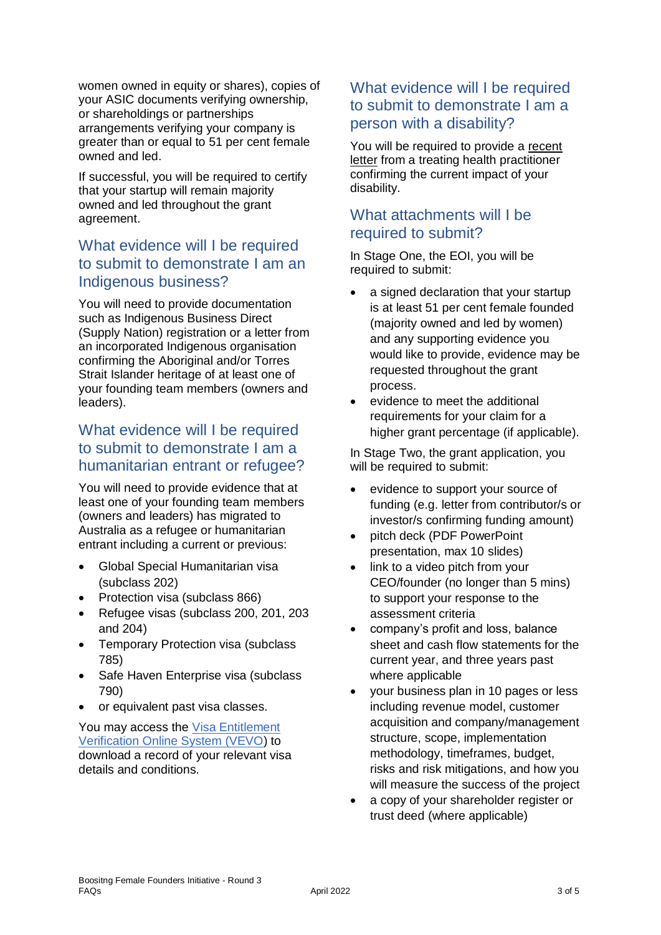women owned in equity or shares), copies of your ASIC documents verifying ownership, or shareholdings or partnerships arrangements verifying your company is greater than or equal to 51 per cent female owned and led.

If successful, you will be required to certify that your startup will remain majority owned and led throughout the grant agreement.

## What evidence will I be required to submit to demonstrate I am an Indigenous business?

You will need to provide documentation such as Indigenous Business Direct (Supply Nation) registration or a letter from an incorporated Indigenous organisation confirming the Aboriginal and/or Torres Strait Islander heritage of at least one of your founding team members (owners and leaders).

## What evidence will I be required to submit to demonstrate I am a humanitarian entrant or refugee?

You will need to provide evidence that at least one of your founding team members (owners and leaders) has migrated to Australia as a refugee or humanitarian entrant including a current or previous:

- Global Special Humanitarian visa (subclass 202)
- Protection visa (subclass 866)
- Refugee visas (subclass 200, 201, 203 and 204)
- Temporary Protection visa (subclass 785)
- Safe Haven Enterprise visa (subclass 790)
- or equivalent past visa classes.

You may access the [Visa Entitlement](https://immi.homeaffairs.gov.au/visas/already-have-a-visa/check-visa-details-and-conditions/check-conditions-online)  [Verification Online System \(VEVO\)](https://immi.homeaffairs.gov.au/visas/already-have-a-visa/check-visa-details-and-conditions/check-conditions-online) to download a record of your relevant visa details and conditions.

## What evidence will I be required to submit to demonstrate I am a person with a disability?

You will be required to provide a recent letter from a treating health practitioner confirming the current impact of your disability.

## What attachments will I be required to submit?

In Stage One, the EOI, you will be required to submit:

- a signed declaration that your startup is at least 51 per cent female founded (majority owned and led by women) and any supporting evidence you would like to provide, evidence may be requested throughout the grant process.
- evidence to meet the additional requirements for your claim for a higher grant percentage (if applicable).

In Stage Two, the grant application, you will be required to submit:

- evidence to support your source of funding (e.g. letter from contributor/s or investor/s confirming funding amount)
- pitch deck (PDF PowerPoint presentation, max 10 slides)
- link to a video pitch from your CEO/founder (no longer than 5 mins) to support your response to the assessment criteria
- company's profit and loss, balance sheet and cash flow statements for the current year, and three years past where applicable
- vour business plan in 10 pages or less including revenue model, customer acquisition and company/management structure, scope, implementation methodology, timeframes, budget, risks and risk mitigations, and how you will measure the success of the project
- a copy of your shareholder register or trust deed (where applicable)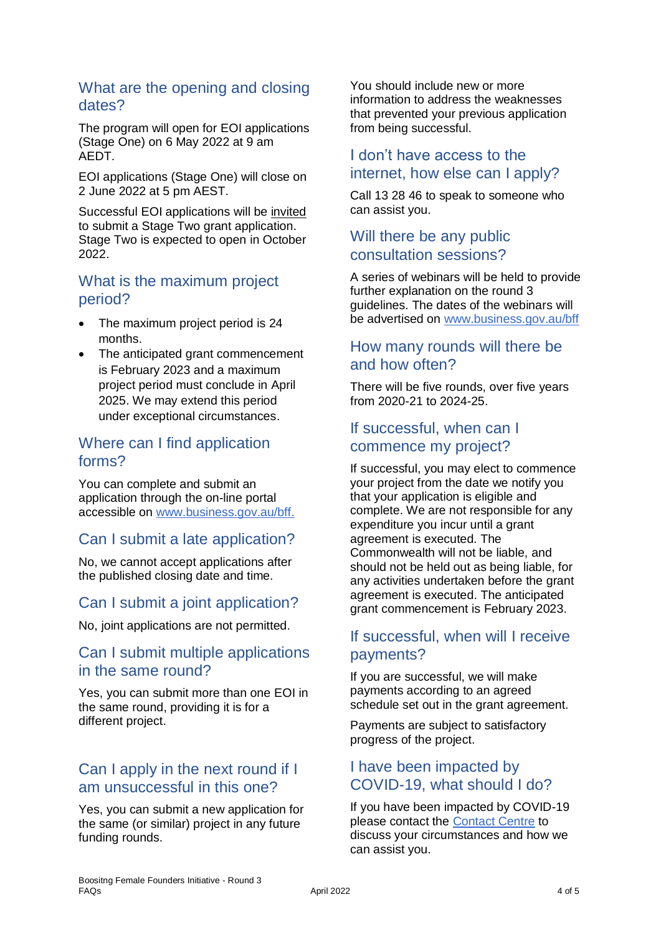#### What are the opening and closing dates?

The program will open for EOI applications (Stage One) on 6 May 2022 at 9 am AEDT.

EOI applications (Stage One) will close on 2 June 2022 at 5 pm AEST.

Successful EOI applications will be invited to submit a Stage Two grant application. Stage Two is expected to open in October 2022.

## What is the maximum project period?

- The maximum project period is 24 months.
- The anticipated grant commencement is February 2023 and a maximum project period must conclude in April 2025. We may extend this period under exceptional circumstances.

## Where can I find application forms?

You can complete and submit an application through the on-line portal accessible on [www.business.gov.au/bff.](http://www.business.gov.au/bff)

# Can I submit a late application?

No, we cannot accept applications after the published closing date and time.

## Can I submit a joint application?

No, joint applications are not permitted.

## Can I submit multiple applications in the same round?

Yes, you can submit more than one EOI in the same round, providing it is for a different project.

# Can I apply in the next round if I am unsuccessful in this one?

Yes, you can submit a new application for the same (or similar) project in any future funding rounds.

You should include new or more information to address the weaknesses that prevented your previous application from being successful.

## I don't have access to the internet, how else can I apply?

Call 13 28 46 to speak to someone who can assist you.

# Will there be any public consultation sessions?

A series of webinars will be held to provide further explanation on the round 3 guidelines. The dates of the webinars will be advertised on [www.business.gov.au/bff](http://www.business.gov.au/bff)

## How many rounds will there be and how often?

There will be five rounds, over five years from 2020-21 to 2024-25.

## If successful, when can I commence my project?

If successful, you may elect to commence your project from the date we notify you that your application is eligible and complete. We are not responsible for any expenditure you incur until a grant agreement is executed. The Commonwealth will not be liable, and should not be held out as being liable, for any activities undertaken before the grant agreement is executed. The anticipated grant commencement is February 2023.

# If successful, when will I receive payments?

If you are successful, we will make payments according to an agreed schedule set out in the grant agreement.

Payments are subject to satisfactory progress of the project.

# I have been impacted by COVID-19, what should I do?

If you have been impacted by COVID-19 please contact the [Contact Centre](https://business.gov.au/contact-us) to discuss your circumstances and how we can assist you.